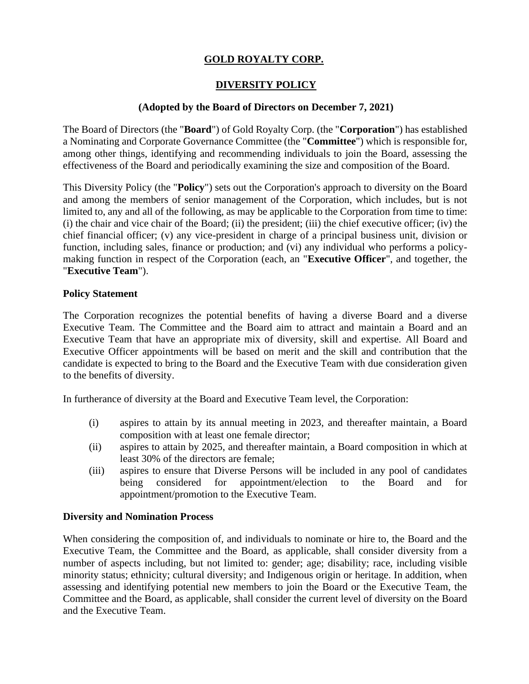# **GOLD ROYALTY CORP.**

## **DIVERSITY POLICY**

### **(Adopted by the Board of Directors on December 7, 2021)**

The Board of Directors (the "**Board**") of Gold Royalty Corp. (the "**Corporation**") has established a Nominating and Corporate Governance Committee (the "**Committee**") which is responsible for, among other things, identifying and recommending individuals to join the Board, assessing the effectiveness of the Board and periodically examining the size and composition of the Board.

This Diversity Policy (the "**Policy**") sets out the Corporation's approach to diversity on the Board and among the members of senior management of the Corporation, which includes, but is not limited to, any and all of the following, as may be applicable to the Corporation from time to time: (i) the chair and vice chair of the Board; (ii) the president; (iii) the chief executive officer; (iv) the chief financial officer; (v) any vice-president in charge of a principal business unit, division or function, including sales, finance or production; and (vi) any individual who performs a policymaking function in respect of the Corporation (each, an "**Executive Officer**", and together, the "**Executive Team**").

#### **Policy Statement**

The Corporation recognizes the potential benefits of having a diverse Board and a diverse Executive Team. The Committee and the Board aim to attract and maintain a Board and an Executive Team that have an appropriate mix of diversity, skill and expertise. All Board and Executive Officer appointments will be based on merit and the skill and contribution that the candidate is expected to bring to the Board and the Executive Team with due consideration given to the benefits of diversity.

In furtherance of diversity at the Board and Executive Team level, the Corporation:

- (i) aspires to attain by its annual meeting in 2023, and thereafter maintain, a Board composition with at least one female director;
- (ii) aspires to attain by 2025, and thereafter maintain, a Board composition in which at least 30% of the directors are female;
- (iii) aspires to ensure that Diverse Persons will be included in any pool of candidates being considered for appointment/election to the Board and for appointment/promotion to the Executive Team.

#### **Diversity and Nomination Process**

When considering the composition of, and individuals to nominate or hire to, the Board and the Executive Team, the Committee and the Board, as applicable, shall consider diversity from a number of aspects including, but not limited to: gender; age; disability; race, including visible minority status; ethnicity; cultural diversity; and Indigenous origin or heritage. In addition, when assessing and identifying potential new members to join the Board or the Executive Team, the Committee and the Board, as applicable, shall consider the current level of diversity on the Board and the Executive Team.